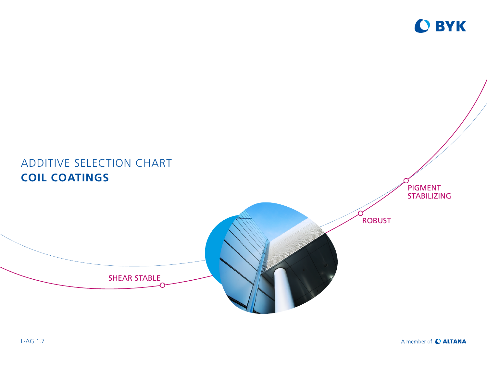

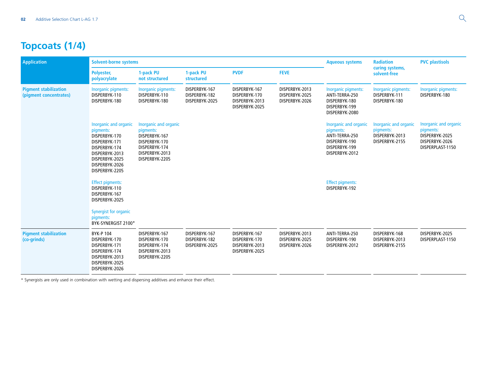# **Topcoats (1/4)**

| <b>Application</b>                                     | Solvent-borne systems                                                                                                                                         |                                                                                                                           |                                                  | <b>Aqueous systems</b>                                             | <b>Radiation</b>                                   | <b>PVC plastisols</b>                                                                                    |                                                                        |                                                                                            |
|--------------------------------------------------------|---------------------------------------------------------------------------------------------------------------------------------------------------------------|---------------------------------------------------------------------------------------------------------------------------|--------------------------------------------------|--------------------------------------------------------------------|----------------------------------------------------|----------------------------------------------------------------------------------------------------------|------------------------------------------------------------------------|--------------------------------------------------------------------------------------------|
|                                                        | Polyester,<br>polyacrylate                                                                                                                                    | 1-pack PU<br>not structured                                                                                               | 1-pack PU<br>structured                          | <b>PVDF</b>                                                        | <b>FEVE</b>                                        |                                                                                                          | curing systems,<br>solvent-free                                        |                                                                                            |
| <b>Pigment stabilization</b><br>(pigment concentrates) | Inorganic pigments:<br>DISPERBYK-110<br>DISPERBYK-180                                                                                                         | Inorganic pigments:<br>DISPERBYK-110<br>DISPERBYK-180                                                                     | DISPERBYK-167<br>DISPERBYK-182<br>DISPERBYK-2025 | DISPERBYK-167<br>DISPERBYK-170<br>DISPERBYK-2013<br>DISPERBYK-2025 | DISPERBYK-2013<br>DISPERBYK-2025<br>DISPERBYK-2026 | Inorganic pigments:<br>ANTI-TERRA-250<br>DISPERBYK-180<br>DISPERBYK-199<br>DISPERBYK-2080                | Inorganic pigments:<br>DISPERBYK-111<br>DISPERBYK-180                  | Inorganic pigments:<br>DISPERBYK-180                                                       |
|                                                        | Inorganic and organic<br>pigments:<br>DISPERBYK-170<br>DISPERBYK-171<br>DISPERBYK-174<br>DISPERBYK-2013<br>DISPERBYK-2025<br>DISPERBYK-2026<br>DISPERBYK-2205 | Inorganic and organic<br>pigments:<br>DISPERBYK-167<br>DISPERBYK-170<br>DISPERBYK-174<br>DISPERBYK-2013<br>DISPERBYK-2205 |                                                  |                                                                    |                                                    | Inorganic and organic<br>pigments:<br>ANTI-TERRA-250<br>DISPERBYK-190<br>DISPERBYK-199<br>DISPERBYK-2012 | Inorganic and organic<br>pigments:<br>DISPERBYK-2013<br>DISPERBYK-2155 | Inorganic and organic<br>pigments:<br>DISPERBYK-2025<br>DISPERBYK-2026<br>DISPERPLAST-1150 |
|                                                        | <b>Effect pigments:</b><br>DISPERBYK-110<br>DISPERBYK-167<br>DISPERBYK-2025<br>Synergist for organic<br>pigments:<br>BYK-SYNERGIST 2100*                      |                                                                                                                           |                                                  |                                                                    |                                                    | <b>Effect pigments:</b><br>DISPERBYK-192                                                                 |                                                                        |                                                                                            |
| <b>Pigment stabilization</b><br>(co-grinds)            | <b>BYK-P104</b><br>DISPERBYK-170<br>DISPERBYK-171<br>DISPERBYK-174<br>DISPERBYK-2013<br>DISPERBYK-2025<br>DISPERBYK-2026                                      | DISPERBYK-167<br>DISPERBYK-170<br>DISPERBYK-174<br>DISPERBYK-2013<br>DISPERBYK-2205                                       | DISPERBYK-167<br>DISPERBYK-182<br>DISPERBYK-2025 | DISPERBYK-167<br>DISPERBYK-170<br>DISPERBYK-2013<br>DISPERBYK-2025 | DISPERBYK-2013<br>DISPERBYK-2025<br>DISPERBYK-2026 | ANTI-TERRA-250<br>DISPERBYK-190<br>DISPERBYK-2012                                                        | DISPERBYK-168<br>DISPERBYK-2013<br>DISPERBYK-2155                      | DISPERBYK-2025<br>DISPERPLAST-1150                                                         |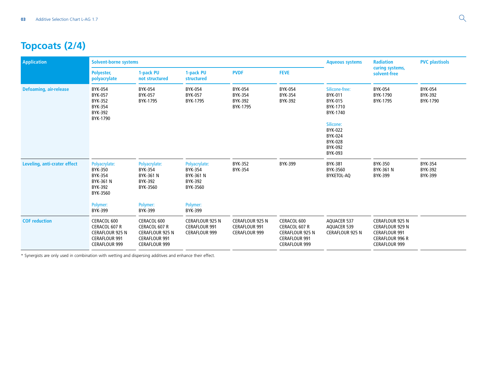# **Topcoats (2/4)**

| <b>Application</b>            | Solvent-borne systems                                                                                  |                                                                                                        |                                                                        | <b>Aqueous systems</b>                                                 | <b>Radiation</b>                                                                                       | <b>PVC plastisols</b>                                                                               |                                                                                                                            |                                              |
|-------------------------------|--------------------------------------------------------------------------------------------------------|--------------------------------------------------------------------------------------------------------|------------------------------------------------------------------------|------------------------------------------------------------------------|--------------------------------------------------------------------------------------------------------|-----------------------------------------------------------------------------------------------------|----------------------------------------------------------------------------------------------------------------------------|----------------------------------------------|
|                               | Polyester,<br>polyacrylate                                                                             | 1-pack PU<br>not structured                                                                            | 1-pack PU<br>structured                                                | <b>PVDF</b>                                                            | <b>FEVE</b>                                                                                            |                                                                                                     | curing systems,<br>solvent-free                                                                                            |                                              |
| <b>Defoaming, air-release</b> | <b>BYK-054</b><br><b>BYK-057</b><br><b>BYK-352</b><br><b>BYK-354</b><br>BYK-392<br>BYK-1790            | BYK-054<br><b>BYK-057</b><br>BYK-1795                                                                  | <b>BYK-054</b><br><b>BYK-057</b><br>BYK-1795                           | <b>BYK-054</b><br><b>BYK-354</b><br><b>BYK-392</b><br>BYK-1795         | <b>BYK-054</b><br><b>BYK-354</b><br><b>BYK-392</b>                                                     | Silicone-free:<br><b>BYK-011</b><br><b>BYK-015</b><br>BYK-1710<br>BYK-1740                          | BYK-054<br>BYK-1790<br>BYK-1795                                                                                            | <b>BYK-054</b><br><b>BYK-392</b><br>BYK-1790 |
|                               |                                                                                                        |                                                                                                        |                                                                        |                                                                        |                                                                                                        | Silicone:<br><b>BYK-022</b><br><b>BYK-024</b><br><b>BYK-028</b><br><b>BYK-092</b><br><b>BYK-093</b> |                                                                                                                            |                                              |
| Leveling, anti-crater effect  | Polyacrylate:<br><b>BYK-350</b><br>BYK-354<br>BYK-361 N<br>BYK-392<br>BYK-3560                         | Polyacrylate:<br>BYK-354<br><b>BYK-361 N</b><br>BYK-392<br>BYK-3560                                    | Polyacrylate:<br><b>BYK-354</b><br>BYK-361 N<br>BYK-392<br>BYK-3560    | BYK-352<br><b>BYK-354</b>                                              | BYK-399                                                                                                | <b>BYK-381</b><br>BYK-3560<br>BYKETOL-AQ                                                            | <b>BYK-350</b><br><b>BYK-361 N</b><br>BYK-399                                                                              | <b>BYK-354</b><br>BYK-392<br><b>BYK-399</b>  |
|                               | Polymer:<br><b>BYK-399</b>                                                                             | Polymer:<br>BYK-399                                                                                    | Polymer:<br><b>BYK-399</b>                                             |                                                                        |                                                                                                        |                                                                                                     |                                                                                                                            |                                              |
| <b>COF reduction</b>          | CERACOL 600<br>CERACOL 607 R<br><b>CERAFLOUR 925 N</b><br><b>CERAFLOUR 991</b><br><b>CERAFLOUR 999</b> | CERACOL 600<br>CERACOL 607 R<br><b>CERAFLOUR 925 N</b><br><b>CERAFLOUR 991</b><br><b>CERAFLOUR 999</b> | <b>CERAFLOUR 925 N</b><br><b>CERAFLOUR 991</b><br><b>CERAFLOUR 999</b> | <b>CERAFLOUR 925 N</b><br><b>CERAFLOUR 991</b><br><b>CERAFLOUR 999</b> | CERACOL 600<br>CERACOL 607 R<br><b>CERAFLOUR 925 N</b><br><b>CERAFLOUR 991</b><br><b>CERAFLOUR 999</b> | <b>AQUACER 537</b><br><b>AQUACER 539</b><br><b>CERAFLOUR 925 N</b>                                  | <b>CERAFLOUR 925 N</b><br><b>CERAFLOUR 929 N</b><br><b>CERAFLOUR 991</b><br><b>CERAFLOUR 996 R</b><br><b>CERAFLOUR 999</b> |                                              |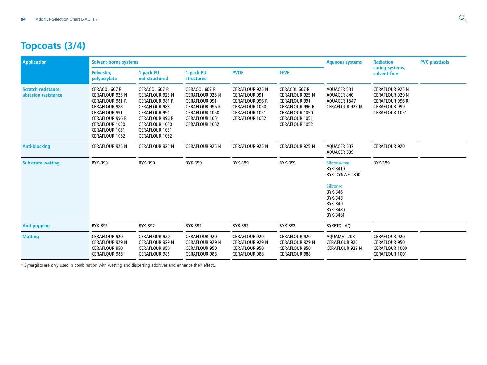# **Topcoats (3/4)**

| Application                                       | <b>Solvent-borne systems</b>                                                                                                                                                                                                  |                                                                                                                                                                                                                        |                                                                                                                                                        | <b>Aqueous systems</b>                                                                                                                       | <b>Radiation</b>                                                                                                                                       | <b>PVC plastisols</b>                                                            |                                                                                                                             |  |
|---------------------------------------------------|-------------------------------------------------------------------------------------------------------------------------------------------------------------------------------------------------------------------------------|------------------------------------------------------------------------------------------------------------------------------------------------------------------------------------------------------------------------|--------------------------------------------------------------------------------------------------------------------------------------------------------|----------------------------------------------------------------------------------------------------------------------------------------------|--------------------------------------------------------------------------------------------------------------------------------------------------------|----------------------------------------------------------------------------------|-----------------------------------------------------------------------------------------------------------------------------|--|
|                                                   | Polyester,<br>polyacrylate                                                                                                                                                                                                    | 1-pack PU<br>not structured                                                                                                                                                                                            | 1-pack PU<br><b>structured</b>                                                                                                                         | <b>PVDF</b>                                                                                                                                  | <b>FEVE</b>                                                                                                                                            |                                                                                  | curing systems,<br>solvent-free                                                                                             |  |
| <b>Scratch resistance,</b><br>abrasion resistance | <b>CERACOL 607 R</b><br><b>CERAFLOUR 925 N</b><br><b>CERAFLOUR 981 R</b><br><b>CERAFLOUR 988</b><br><b>CERAFLOUR 991</b><br><b>CERAFLOUR 996 R</b><br><b>CERAFLOUR 1050</b><br><b>CERAFLOUR 1051</b><br><b>CERAFLOUR 1052</b> | CERACOL 607 R<br><b>CERAFLOUR 925 N</b><br><b>CERAFLOUR 981 R</b><br><b>CERAFLOUR 988</b><br><b>CERAFLOUR 991</b><br><b>CERAFLOUR 996 R</b><br><b>CERAFLOUR 1050</b><br><b>CERAFLOUR 1051</b><br><b>CERAFLOUR 1052</b> | CERACOL 607 R<br><b>CERAFLOUR 925 N</b><br><b>CERAFLOUR 991</b><br><b>CERAFLOUR 996 R</b><br><b>CERAFLOUR 1050</b><br>CERAFLOUR 1051<br>CERAFLOUR 1052 | <b>CERAFLOUR 925 N</b><br><b>CERAFLOUR 991</b><br><b>CERAFLOUR 996 R</b><br><b>CERAFLOUR 1050</b><br><b>CERAFLOUR 1051</b><br>CERAFLOUR 1052 | CERACOL 607 R<br><b>CERAFLOUR 925 N</b><br><b>CERAFLOUR 991</b><br><b>CERAFLOUR 996 R</b><br><b>CERAFLOUR 1050</b><br>CERAFLOUR 1051<br>CERAFLOUR 1052 | <b>AQUACER 531</b><br>AQUACER 840<br>AQUACER 1547<br><b>CERAFLOUR 925 N</b>      | <b>CERAFLOUR 925 N</b><br><b>CERAFLOUR 929 N</b><br><b>CERAFLOUR 996 R</b><br><b>CERAFLOUR 999</b><br><b>CERAFLOUR 1051</b> |  |
| <b>Anti-blocking</b>                              | <b>CERAFLOUR 925 N</b>                                                                                                                                                                                                        | <b>CERAFLOUR 925 N</b>                                                                                                                                                                                                 | <b>CERAFLOUR 925 N</b>                                                                                                                                 | <b>CERAFLOUR 925 N</b>                                                                                                                       | <b>CERAFLOUR 925 N</b>                                                                                                                                 | <b>AQUACER 537</b><br><b>AQUACER 539</b>                                         | <b>CERAFLOUR 920</b>                                                                                                        |  |
| <b>Substrate wetting</b>                          | <b>BYK-399</b>                                                                                                                                                                                                                | BYK-399                                                                                                                                                                                                                | BYK-399                                                                                                                                                | BYK-399                                                                                                                                      | BYK-399                                                                                                                                                | Silicone-free:<br>BYK-3410<br>BYK-DYNWET 800                                     | <b>BYK-399</b>                                                                                                              |  |
|                                                   |                                                                                                                                                                                                                               |                                                                                                                                                                                                                        |                                                                                                                                                        |                                                                                                                                              |                                                                                                                                                        | Silicone:<br>BYK-346<br><b>BYK-348</b><br><b>BYK-349</b><br>BYK-3480<br>BYK-3481 |                                                                                                                             |  |
| <b>Anti-popping</b>                               | BYK-392                                                                                                                                                                                                                       | <b>BYK-392</b>                                                                                                                                                                                                         | <b>BYK-392</b>                                                                                                                                         | <b>BYK-392</b>                                                                                                                               | <b>BYK-392</b>                                                                                                                                         | BYKETOL-AQ                                                                       |                                                                                                                             |  |
| <b>Matting</b>                                    | <b>CERAFLOUR 920</b><br><b>CERAFLOUR 929 N</b><br><b>CERAFLOUR 950</b><br><b>CERAFLOUR 988</b>                                                                                                                                | <b>CERAFLOUR 920</b><br><b>CERAFLOUR 929 N</b><br><b>CERAFLOUR 950</b><br><b>CERAFLOUR 988</b>                                                                                                                         | <b>CERAFLOUR 920</b><br><b>CERAFLOUR 929 N</b><br><b>CERAFLOUR 950</b><br><b>CERAFLOUR 988</b>                                                         | <b>CERAFLOUR 920</b><br><b>CERAFLOUR 929 N</b><br><b>CERAFLOUR 950</b><br><b>CERAFLOUR 988</b>                                               | <b>CERAFLOUR 920</b><br><b>CERAFLOUR 929 N</b><br><b>CERAFLOUR 950</b><br><b>CERAFLOUR 988</b>                                                         | <b>AOUAMAT 208</b><br><b>CERAFLOUR 920</b><br><b>CERAFLOUR 929 N</b>             | <b>CERAFLOUR 920</b><br><b>CERAFLOUR 950</b><br><b>CERAFLOUR 1000</b><br><b>CERAFLOUR 1001</b>                              |  |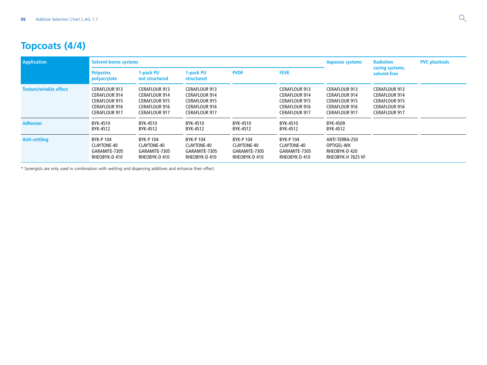# **Topcoats (4/4)**

| <b>Application</b>            | Solvent-borne systems                                                                                                |                                                                                                                      |                                                                                                                      | <b>Aqueous systems</b>                                     | <b>Radiation</b>                                                                                                     | <b>PVC plastisols</b>                                                                                                |                                                                                                                      |  |
|-------------------------------|----------------------------------------------------------------------------------------------------------------------|----------------------------------------------------------------------------------------------------------------------|----------------------------------------------------------------------------------------------------------------------|------------------------------------------------------------|----------------------------------------------------------------------------------------------------------------------|----------------------------------------------------------------------------------------------------------------------|----------------------------------------------------------------------------------------------------------------------|--|
|                               | Polyester,<br>polyacrylate                                                                                           | 1-pack PU<br>not structured                                                                                          | 1-pack PU<br>structured                                                                                              | <b>PVDF</b>                                                | <b>FEVE</b>                                                                                                          |                                                                                                                      | curing systems,<br>solvent-free                                                                                      |  |
| <b>Texture/wrinkle effect</b> | <b>CERAFLOUR 913</b><br><b>CERAFLOUR 914</b><br><b>CERAFLOUR 915</b><br><b>CERAFLOUR 916</b><br><b>CERAFLOUR 917</b> | <b>CERAFLOUR 913</b><br><b>CERAFLOUR 914</b><br><b>CERAFLOUR 915</b><br><b>CERAFLOUR 916</b><br><b>CERAFLOUR 917</b> | <b>CERAFLOUR 913</b><br><b>CERAFLOUR 914</b><br><b>CERAFLOUR 915</b><br><b>CERAFLOUR 916</b><br><b>CERAFLOUR 917</b> |                                                            | <b>CERAFLOUR 913</b><br><b>CERAFLOUR 914</b><br><b>CERAFLOUR 915</b><br><b>CERAFLOUR 916</b><br><b>CERAFLOUR 917</b> | <b>CERAFLOUR 913</b><br><b>CERAFLOUR 914</b><br><b>CERAFLOUR 915</b><br><b>CERAFLOUR 916</b><br><b>CERAFLOUR 917</b> | <b>CERAFLOUR 913</b><br><b>CERAFLOUR 914</b><br><b>CERAFLOUR 915</b><br><b>CERAFLOUR 916</b><br><b>CERAFLOUR 917</b> |  |
| <b>Adhesion</b>               | BYK-4510<br>BYK-4512                                                                                                 | BYK-4510<br>BYK-4512                                                                                                 | BYK-4510<br>BYK-4512                                                                                                 | BYK-4510<br>BYK-4512                                       | BYK-4510<br>BYK-4512                                                                                                 | BYK-4509<br>BYK-4512                                                                                                 |                                                                                                                      |  |
| Anti-settling                 | BYK-P 104<br>CLAYTONE-40<br>GARAMITE-7305<br>RHEOBYK-D 410                                                           | <b>BYK-P104</b><br>CLAYTONE-40<br>GARAMITE-7305<br>RHEOBYK-D 410                                                     | BYK-P 104<br>CLAYTONE-40<br>GARAMITE-7305<br>RHEOBYK-D 410                                                           | BYK-P 104<br>CLAYTONE-40<br>GARAMITE-7305<br>RHEOBYK-D 410 | <b>BYK-P104</b><br>CLAYTONE-40<br>GARAMITE-7305<br>RHEOBYK-D 410                                                     | ANTI-TERRA-250<br>OPTIGEL-WX<br>RHEOBYK-D 420<br>RHEOBYK-H 7625 VF                                                   |                                                                                                                      |  |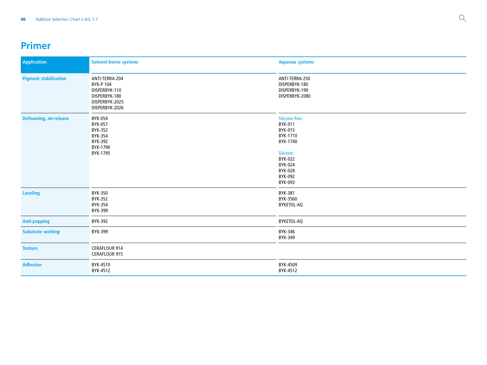#### **Primer**

| <b>Application</b>            | Solvent-borne systems                                                                                   | <b>Aqueous systems</b>                                                                                                                  |  |  |
|-------------------------------|---------------------------------------------------------------------------------------------------------|-----------------------------------------------------------------------------------------------------------------------------------------|--|--|
| <b>Pigment stabilization</b>  | ANTI-TERRA-204<br><b>BYK-P104</b><br>DISPERBYK-110<br>DISPERBYK-180<br>DISPERBYK-2025<br>DISPERBYK-2026 | ANTI-TERRA-250<br>DISPERBYK-180<br>DISPERBYK-199<br>DISPERBYK-2080                                                                      |  |  |
| <b>Defoaming, air-release</b> | BYK-054<br>BYK-057<br><b>BYK-352</b><br><b>BYK-354</b><br>BYK-392<br>BYK-1790<br>BYK-1795               | Silicone-free:<br>BYK-011<br>BYK-015<br>BYK-1710<br>BYK-1740<br>Silicone:<br><b>BYK-022</b><br>BYK-024<br>BYK-028<br>BYK-092<br>BYK-093 |  |  |
| <b>Leveling</b>               | <b>BYK-350</b><br><b>BYK-352</b><br><b>BYK-354</b><br>BYK-399                                           | <b>BYK-381</b><br>BYK-3560<br>BYKETOL-AQ                                                                                                |  |  |
| <b>Anti-popping</b>           | BYK-392                                                                                                 | BYKETOL-AQ                                                                                                                              |  |  |
| <b>Substrate wetting</b>      | BYK-399                                                                                                 | BYK-346<br>BYK-349                                                                                                                      |  |  |
| <b>Texture</b>                | CERAFLOUR 914<br>CERAFLOUR 915                                                                          |                                                                                                                                         |  |  |
| <b>Adhesion</b>               | BYK-4510<br>BYK-4512                                                                                    | BYK-4509<br>BYK-4512                                                                                                                    |  |  |